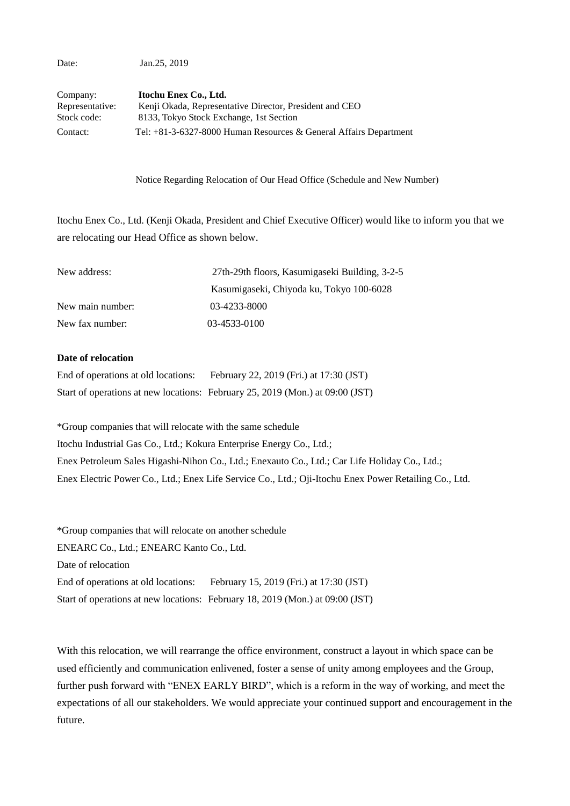Date: Jan.25, 2019

| Company:        | Itochu Enex Co., Ltd.                                             |
|-----------------|-------------------------------------------------------------------|
| Representative: | Kenji Okada, Representative Director, President and CEO           |
| Stock code:     | 8133, Tokyo Stock Exchange, 1st Section                           |
| Contact:        | Tel: +81-3-6327-8000 Human Resources & General Affairs Department |

Notice Regarding Relocation of Our Head Office (Schedule and New Number)

Itochu Enex Co., Ltd. (Kenji Okada, President and Chief Executive Officer) would like to inform you that we are relocating our Head Office as shown below.

| New address:     | 27th-29th floors, Kasumigaseki Building, 3-2-5 |
|------------------|------------------------------------------------|
|                  | Kasumigaseki, Chiyoda ku, Tokyo 100-6028       |
| New main number: | 03-4233-8000                                   |
| New fax number:  | 03-4533-0100                                   |

## **Date of relocation**

| End of operations at old locations: | February 22, 2019 (Fri.) at 17:30 (JST)                                       |
|-------------------------------------|-------------------------------------------------------------------------------|
|                                     | Start of operations at new locations: February 25, 2019 (Mon.) at 09:00 (JST) |

\*Group companies that will relocate with the same schedule

Itochu Industrial Gas Co., Ltd.; Kokura Enterprise Energy Co., Ltd.;

Enex Petroleum Sales Higashi-Nihon Co., Ltd.; Enexauto Co., Ltd.; Car Life Holiday Co., Ltd.;

Enex Electric Power Co., Ltd.; Enex Life Service Co., Ltd.; Oji-Itochu Enex Power Retailing Co., Ltd.

\*Group companies that will relocate on another schedule ENEARC Co., Ltd.; ENEARC Kanto Co., Ltd. Date of relocation End of operations at old locations: February 15, 2019 (Fri.) at 17:30 (JST) Start of operations at new locations: February 18, 2019 (Mon.) at 09:00 (JST)

With this relocation, we will rearrange the office environment, construct a layout in which space can be used efficiently and communication enlivened, foster a sense of unity among employees and the Group, further push forward with "ENEX EARLY BIRD", which is a reform in the way of working, and meet the expectations of all our stakeholders. We would appreciate your continued support and encouragement in the future.